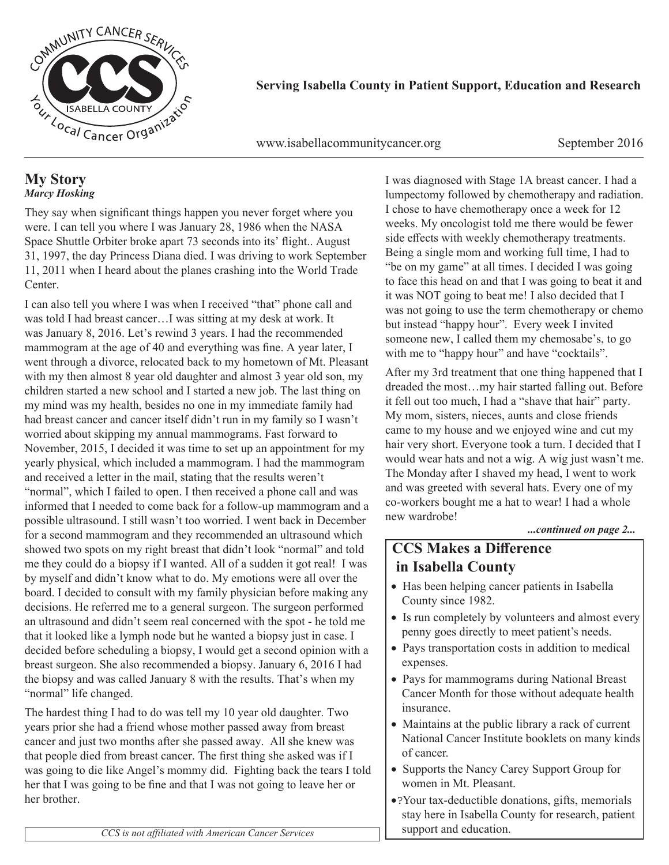

**Serving Isabella County in Patient Support, Education and Research**

www.isabellacommunitycancer.org September 2016

#### **My Story** *Marcy Hosking*

They say when significant things happen you never forget where you were. I can tell you where I was January 28, 1986 when the NASA Space Shuttle Orbiter broke apart 73 seconds into its' flight.. August 31, 1997, the day Princess Diana died. I was driving to work September 11, 2011 when I heard about the planes crashing into the World Trade Center.

I can also tell you where I was when I received "that" phone call and was told I had breast cancer…I was sitting at my desk at work. It was January 8, 2016. Let's rewind 3 years. I had the recommended mammogram at the age of 40 and everything was fine. A year later, I went through a divorce, relocated back to my hometown of Mt. Pleasant with my then almost 8 year old daughter and almost 3 year old son, my children started a new school and I started a new job. The last thing on my mind was my health, besides no one in my immediate family had had breast cancer and cancer itself didn't run in my family so I wasn't worried about skipping my annual mammograms. Fast forward to November, 2015, I decided it was time to set up an appointment for my yearly physical, which included a mammogram. I had the mammogram and received a letter in the mail, stating that the results weren't "normal", which I failed to open. I then received a phone call and was informed that I needed to come back for a follow-up mammogram and a possible ultrasound. I still wasn't too worried. I went back in December for a second mammogram and they recommended an ultrasound which showed two spots on my right breast that didn't look "normal" and told me they could do a biopsy if I wanted. All of a sudden it got real! I was by myself and didn't know what to do. My emotions were all over the board. I decided to consult with my family physician before making any decisions. He referred me to a general surgeon. The surgeon performed an ultrasound and didn't seem real concerned with the spot - he told me that it looked like a lymph node but he wanted a biopsy just in case. I decided before scheduling a biopsy, I would get a second opinion with a breast surgeon. She also recommended a biopsy. January 6, 2016 I had the biopsy and was called January 8 with the results. That's when my "normal" life changed.

The hardest thing I had to do was tell my 10 year old daughter. Two years prior she had a friend whose mother passed away from breast cancer and just two months after she passed away. All she knew was that people died from breast cancer. The first thing she asked was if I was going to die like Angel's mommy did. Fighting back the tears I told her that I was going to be fine and that I was not going to leave her or her brother.

I was diagnosed with Stage 1A breast cancer. I had a lumpectomy followed by chemotherapy and radiation. I chose to have chemotherapy once a week for 12 weeks. My oncologist told me there would be fewer side effects with weekly chemotherapy treatments. Being a single mom and working full time, I had to "be on my game" at all times. I decided I was going to face this head on and that I was going to beat it and it was NOT going to beat me! I also decided that I was not going to use the term chemotherapy or chemo but instead "happy hour". Every week I invited someone new, I called them my chemosabe's, to go with me to "happy hour" and have "cocktails".

After my 3rd treatment that one thing happened that I dreaded the most…my hair started falling out. Before it fell out too much, I had a "shave that hair" party. My mom, sisters, nieces, aunts and close friends came to my house and we enjoyed wine and cut my hair very short. Everyone took a turn. I decided that I would wear hats and not a wig. A wig just wasn't me. The Monday after I shaved my head, I went to work and was greeted with several hats. Every one of my co-workers bought me a hat to wear! I had a whole new wardrobe!

#### *...continued on page 2...*

## **CCS Makes a Difference in Isabella County**

- Has been helping cancer patients in Isabella County since 1982.
- Is run completely by volunteers and almost every penny goes directly to meet patient's needs.
- Pays transportation costs in addition to medical expenses.
- Pays for mammograms during National Breast Cancer Month for those without adequate health insurance.
- Maintains at the public library a rack of current National Cancer Institute booklets on many kinds of cancer.
- Supports the Nancy Carey Support Group for women in Mt. Pleasant.
- Your tax-deductible donations, gifts, memorials stay here in Isabella County for research, patient support and education.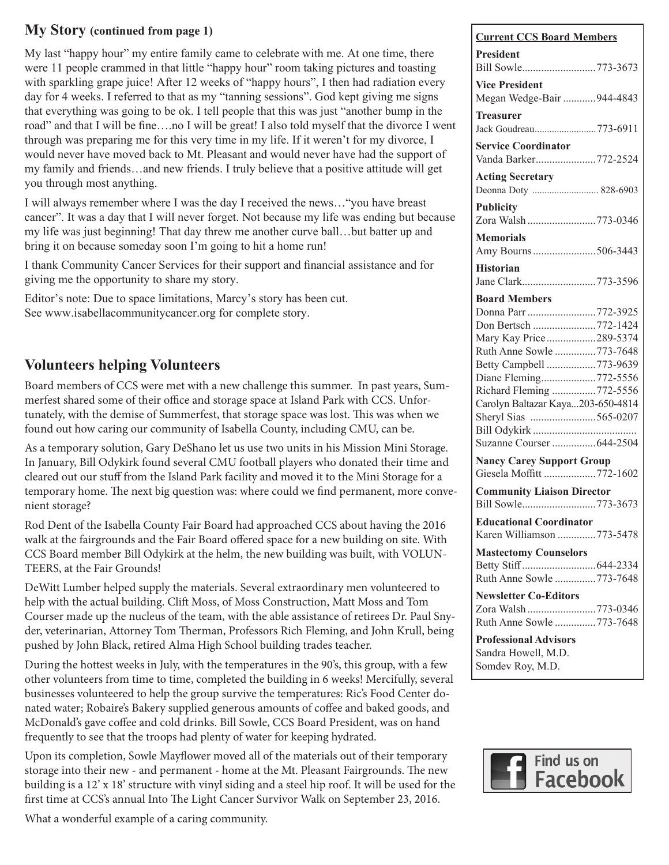#### **My Story (continued from page 1)**

My last "happy hour" my entire family came to celebrate with me. At one time, there were 11 people crammed in that little "happy hour" room taking pictures and toasting with sparkling grape juice! After 12 weeks of "happy hours", I then had radiation every day for 4 weeks. I referred to that as my "tanning sessions". God kept giving me signs that everything was going to be ok. I tell people that this was just "another bump in the road" and that I will be fine….no I will be great! I also told myself that the divorce I went through was preparing me for this very time in my life. If it weren't for my divorce, I would never have moved back to Mt. Pleasant and would never have had the support of my family and friends…and new friends. I truly believe that a positive attitude will get you through most anything.

I will always remember where I was the day I received the news…"you have breast cancer". It was a day that I will never forget. Not because my life was ending but because my life was just beginning! That day threw me another curve ball…but batter up and bring it on because someday soon I'm going to hit a home run!

I thank Community Cancer Services for their support and financial assistance and for giving me the opportunity to share my story.

Editor's note: Due to space limitations, Marcy's story has been cut. See www.isabellacommunitycancer.org for complete story.

## **Volunteers helping Volunteers**

Board members of CCS were met with a new challenge this summer. In past years, Summerfest shared some of their office and storage space at Island Park with CCS. Unfortunately, with the demise of Summerfest, that storage space was lost. This was when we found out how caring our community of Isabella County, including CMU, can be.

As a temporary solution, Gary DeShano let us use two units in his Mission Mini Storage. In January, Bill Odykirk found several CMU football players who donated their time and cleared out our stuff from the Island Park facility and moved it to the Mini Storage for a temporary home. The next big question was: where could we find permanent, more convenient storage?

Rod Dent of the Isabella County Fair Board had approached CCS about having the 2016 walk at the fairgrounds and the Fair Board offered space for a new building on site. With CCS Board member Bill Odykirk at the helm, the new building was built, with VOLUN-TEERS, at the Fair Grounds!

DeWitt Lumber helped supply the materials. Several extraordinary men volunteered to help with the actual building. Clift Moss, of Moss Construction, Matt Moss and Tom Courser made up the nucleus of the team, with the able assistance of retirees Dr. Paul Snyder, veterinarian, Attorney Tom Therman, Professors Rich Fleming, and John Krull, being pushed by John Black, retired Alma High School building trades teacher.

During the hottest weeks in July, with the temperatures in the 90's, this group, with a few other volunteers from time to time, completed the building in 6 weeks! Mercifully, several businesses volunteered to help the group survive the temperatures: Ric's Food Center donated water; Robaire's Bakery supplied generous amounts of coffee and baked goods, and McDonald's gave coffee and cold drinks. Bill Sowle, CCS Board President, was on hand frequently to see that the troops had plenty of water for keeping hydrated.

Upon its completion, Sowle Mayflower moved all of the materials out of their temporary storage into their new - and permanent - home at the Mt. Pleasant Fairgrounds. The new building is a 12' x 18' structure with vinyl siding and a steel hip roof. It will be used for the first time at CCS's annual Into The Light Cancer Survivor Walk on September 23, 2016.

What a wonderful example of a caring community.

| <b>Current CCS Board Members</b>                                                                         |
|----------------------------------------------------------------------------------------------------------|
| <b>President</b><br>Bill Sowle773-3673                                                                   |
| <b>Vice President</b><br>Megan Wedge-Bair 944-4843                                                       |
| <b>Treasurer</b><br>Jack Goudreau773-6911                                                                |
| <b>Service Coordinator</b><br>Vanda Barker772-2524                                                       |
| <b>Acting Secretary</b><br>Deonna Doty  828-6903                                                         |
| <b>Publicity</b><br>Zora Walsh 773-0346                                                                  |
| <b>Memorials</b><br>Amy Bourns506-3443                                                                   |
| <b>Historian</b><br>Jane Clark773-3596                                                                   |
| <b>Board Members</b><br>Donna Parr 772-3925<br>Don Bertsch 772-1424<br>Mary Kay Price289-5374            |
| Ruth Anne Sowle 773-7648<br>Betty Campbell 773-9639<br>Diane Fleming772-5556<br>Richard Fleming 772-5556 |
| Carolyn Baltazar Kaya203-650-4814<br>Sheryl Sias 565-0207<br>Bill Odykirk<br>Suzanne Courser 644-2504    |
| <b>Nancy Carey Support Group</b><br>Giesela Moffitt 772-1602                                             |
| <b>Community Liaison Director</b><br>Bill Sowle773-3673                                                  |
| <b>Educational Coordinator</b><br>Karen Williamson 773-5478                                              |
| <b>Mastectomy Counselors</b><br>Ruth Anne Sowle 773-7648                                                 |
| <b>Newsletter Co-Editors</b><br>Zora Walsh 773-0346<br>Ruth Anne Sowle 773-7648                          |
| <b>Professional Advisors</b><br>Sandra Howell, M.D.<br>Somdev Roy, M.D.                                  |

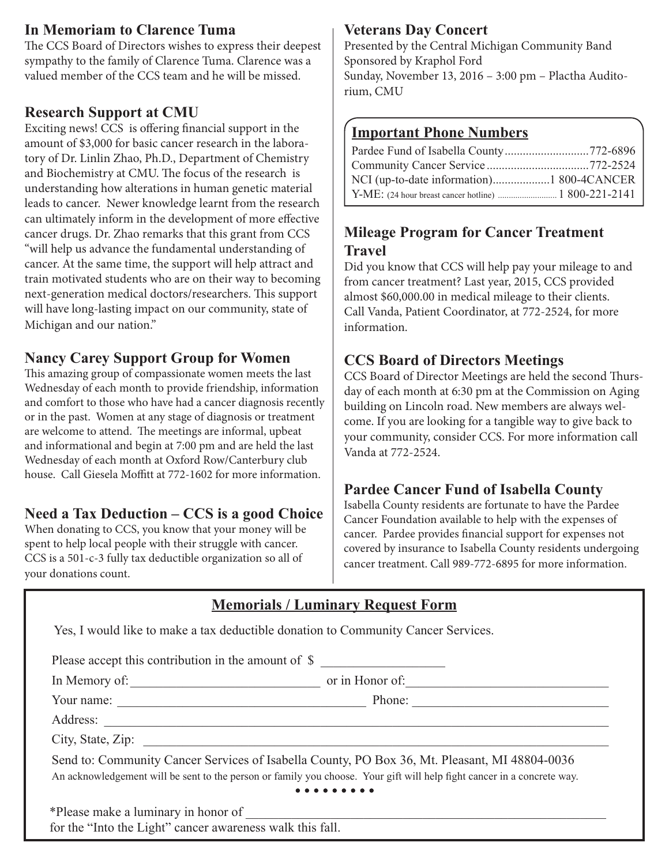#### **In Memoriam to Clarence Tuma**

The CCS Board of Directors wishes to express their deepest sympathy to the family of Clarence Tuma. Clarence was a valued member of the CCS team and he will be missed.

#### **Research Support at CMU**

Exciting news! CCS is offering financial support in the amount of \$3,000 for basic cancer research in the laboratory of Dr. Linlin Zhao, Ph.D., Department of Chemistry and Biochemistry at CMU. The focus of the research is understanding how alterations in human genetic material leads to cancer. Newer knowledge learnt from the research can ultimately inform in the development of more effective cancer drugs. Dr. Zhao remarks that this grant from CCS "will help us advance the fundamental understanding of cancer. At the same time, the support will help attract and train motivated students who are on their way to becoming next-generation medical doctors/researchers. This support will have long-lasting impact on our community, state of Michigan and our nation."

#### **Nancy Carey Support Group for Women**

This amazing group of compassionate women meets the last Wednesday of each month to provide friendship, information and comfort to those who have had a cancer diagnosis recently or in the past. Women at any stage of diagnosis or treatment are welcome to attend. The meetings are informal, upbeat and informational and begin at 7:00 pm and are held the last Wednesday of each month at Oxford Row/Canterbury club house. Call Giesela Moffitt at 772-1602 for more information.

#### **Need a Tax Deduction – CCS is a good Choice**

When donating to CCS, you know that your money will be spent to help local people with their struggle with cancer. CCS is a 501-c-3 fully tax deductible organization so all of your donations count.

#### **Veterans Day Concert**

Presented by the Central Michigan Community Band Sponsored by Kraphol Ford Sunday, November 13, 2016 – 3:00 pm – Plactha Auditorium, CMU

#### **Important Phone Numbers**

| Pardee Fund of Isabella County772-6896 |  |
|----------------------------------------|--|
|                                        |  |
|                                        |  |
|                                        |  |

#### **Mileage Program for Cancer Treatment Travel**

Did you know that CCS will help pay your mileage to and from cancer treatment? Last year, 2015, CCS provided almost \$60,000.00 in medical mileage to their clients. Call Vanda, Patient Coordinator, at 772-2524, for more information.

#### **CCS Board of Directors Meetings**

CCS Board of Director Meetings are held the second Thursday of each month at 6:30 pm at the Commission on Aging building on Lincoln road. New members are always welcome. If you are looking for a tangible way to give back to your community, consider CCS. For more information call Vanda at 772-2524.

## **Pardee Cancer Fund of Isabella County**

Isabella County residents are fortunate to have the Pardee Cancer Foundation available to help with the expenses of cancer. Pardee provides financial support for expenses not covered by insurance to Isabella County residents undergoing cancer treatment. Call 989-772-6895 for more information.

## **Memorials / Luminary Request Form**

|                                                           | Please accept this contribution in the amount of \$                                                                                                                                                                      |
|-----------------------------------------------------------|--------------------------------------------------------------------------------------------------------------------------------------------------------------------------------------------------------------------------|
|                                                           |                                                                                                                                                                                                                          |
|                                                           |                                                                                                                                                                                                                          |
|                                                           |                                                                                                                                                                                                                          |
|                                                           |                                                                                                                                                                                                                          |
|                                                           | Send to: Community Cancer Services of Isabella County, PO Box 36, Mt. Pleasant, MI 48804-0036<br>An acknowledgement will be sent to the person or family you choose. Your gift will help fight cancer in a concrete way. |
|                                                           |                                                                                                                                                                                                                          |
| for the "Into the Light" cancer awareness walk this fall. |                                                                                                                                                                                                                          |